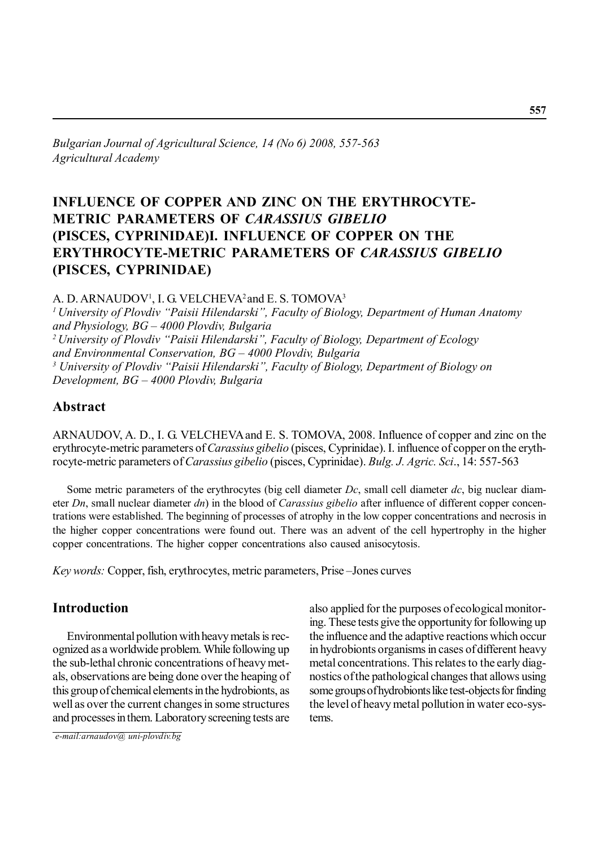*Bulgarian Journal of Agricultural Science, 14 (No 6) 2008, 557-563 Agricultural Academy*

# **INFLUENCE OF COPPER AND ZINC ON THE ERYTHROCYTE-METRIC PARAMETERS OF** *CARASSIUS GIBELIO* **(PISCES, CYPRINIDAE)I. INFLUENCE OF COPPER ON THE ERYTHROCYTE-METRIC PARAMETERS OF** *CARASSIUS GIBELIO* **(PISCES, CYPRINIDAE)**

A. D. ARNAUDOV<sup>1</sup>, I. G. VELCHEVA<sup>2</sup> and E. S. TOMOVA<sup>3</sup>

*1 University of Plovdiv "Paisii Hilendarski", Faculty of Biology, Department of Human Anatomy and Physiology, BG – 4000 Plovdiv, Bulgaria 2 University of Plovdiv "Paisii Hilendarski", Faculty of Biology, Department of Ecology and Environmental Conservation, BG – 4000 Plovdiv, Bulgaria 3 University of Plovdiv "Paisii Hilendarski", Faculty of Biology, Department of Biology on Development, BG – 4000 Plovdiv, Bulgaria*

# **Abstract**

ARNAUDOV, A. D., I. G. VELCHEVAand E. S. TOMOVA, 2008. Influence of copper and zinc on the erythrocyte-metric parameters of *Carassius gibelio* (pisces, Cyprinidae). I. influence of copper on the erythrocyte-metric parameters of *Carassius gibelio* (pisces, Cyprinidae). *Bulg. J. Agric. Sci*., 14: 557-563

Some metric parameters of the erythrocytes (big cell diameter *Dc*, small cell diameter *dc*, big nuclear diameter *Dn*, small nuclear diameter *dn*) in the blood of *Carassius gibelio* after influence of different copper concentrations were established. The beginning of processes of atrophy in the low copper concentrations and necrosis in the higher copper concentrations were found out. There was an advent of the cell hypertrophy in the higher copper concentrations. The higher copper concentrations also caused anisocytosis.

*Key words:* Copper, fish, erythrocytes, metric parameters, Prise –Jones curves

### **Introduction**

Environmental pollution with heavy metals is recognized as a worldwide problem. While following up the sub-lethal chronic concentrations of heavy metals, observations are being done over the heaping of this group of chemical elements in the hydrobionts, as well as over the current changes in some structures and processes in them. Laboratory screening tests are

 *e-mail:arnaudov@ uni-plovdiv.bg*

also applied for the purposes of ecological monitoring. These tests give the opportunity for following up the influence and the adaptive reactions which occur in hydrobionts organisms in cases of different heavy metal concentrations. This relates to the early diagnostics of the pathological changes that allows using some groups of hydrobionts like test-objects for finding the level of heavy metal pollution in water eco-systems.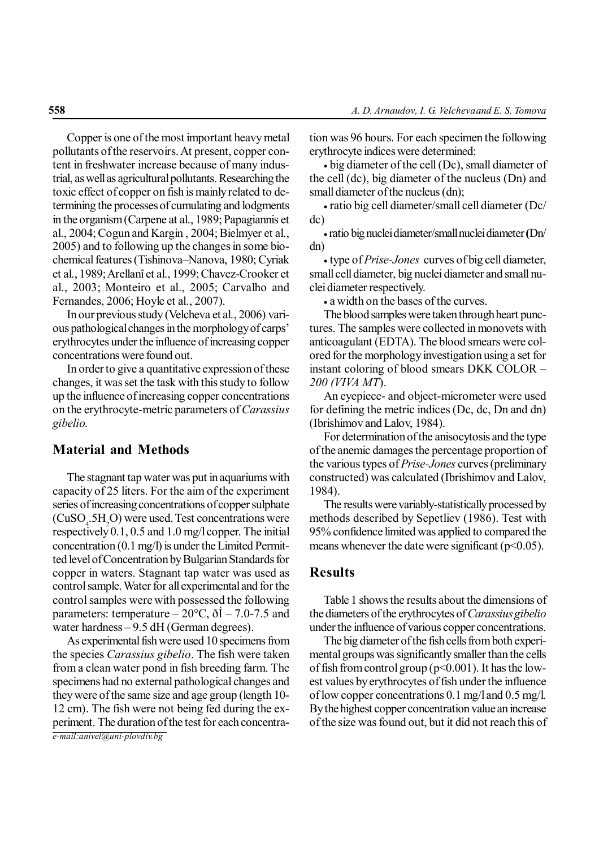Copper is one of the most important heavy metal pollutants of the reservoirs. At present, copper content in freshwater increase because of many industrial, as well as agricultural pollutants. Researching the toxic effect of copper on fish is mainly related to determining the processes of cumulating and lodgments in the organism (Carpene at al., 1989; Papagiannis et al., 2004; Cogun and Kargin , 2004; Bielmyer et al., 2005) and to following up the changes in some biochemical features (Tishinova–Nanova, 1980; Cyriak et al., 1989; Arellanî et al., 1999; Chavez-Crooker et al., 2003; Monteiro et al., 2005; Carvalho and Fernandes, 2006; Hoyle et al., 2007).

In our previous study (Velcheva et al., 2006) various pathological changes in the morphology of carps' erythrocytes under the influence of increasing copper concentrations were found out.

In order to give a quantitative expression of these changes, it was set the task with this study to follow up the influence of increasing copper concentrations on the erythrocyte-metric parameters of *Carassius gibelio.*

# **Material and Methods**

The stagnant tap water was put in aquariums with capacity of 25 liters. For the aim of the experiment series of increasing concentrations of copper sulphate  $(CuSO<sub>4</sub>$ :5H<sub>2</sub>O) were used. Test concentrations were respectively 0.1, 0.5 and 1.0 mg/l copper. The initial concentration (0.1 mg/l) is under the Limited Permitted level of Concentration by Bulgarian Standards for copper in waters. Stagnant tap water was used as control sample. Water for all experimental and for the control samples were with possessed the following parameters: temperature –  $20^{\circ}$ C,  $\delta$ I – 7.0-7.5 and water hardness – 9.5 dH (German degrees).

*e-mail:anivel@uni-plovdiv.bg* As experimental fish were used 10 specimens from the species *Carassius gibelio*. The fish were taken from a clean water pond in fish breeding farm. The specimens had no external pathological changes and they were of the same size and age group (length 10- 12 cm). The fish were not being fed during the experiment. The duration of the test for each concentration was 96 hours. For each specimen the following erythrocyte indices were determined:

• big diameter of the cell (Dc), small diameter of the cell (dc), big diameter of the nucleus (Dn) and small diameter of the nucleus (dn);

• ratio big cell diameter/small cell diameter (Dc/ dc)

• ratio big nuclei diameter/small nuclei diameter **(**Dn/ dn)

• type of *Prise-Jones* curves of big cell diameter, small cell diameter, big nuclei diameter and small nuclei diameter respectively.

• a width on the bases of the curves.

The blood samples were taken through heart punctures. The samples were collected in monovets with anticoagulant (EDTA). The blood smears were colored for the morphology investigation using a set for instant coloring of blood smears DKK COLOR *– 200 (VIVA MT*).

An eyepiece- and object-micrometer were used for defining the metric indices (Dc, dc, Dn and dn) (Ibrishimov and Lalov, 1984).

For determination of the anisocytosis and the type of the anemic damages the percentage proportion of the various types of *Prise-Jones* curves(preliminary constructed) was calculated (Ibrishimov and Lalov, 1984).

The results were variably-statistically processed by methods described by Sepetliev (1986). Test with 95% confidence limited was applied to compared the means whenever the date were significant  $(p<0.05)$ .

### **Results**

Table 1 shows the results about the dimensions of the diameters of the erythrocytes of *Carassius gibelio* under the influence of various copper concentrations.

The big diameter of the fish cells from both experimental groups was significantly smaller than the cells of fish from control group ( $p<0.001$ ). It has the lowest values by erythrocytes of fish under the influence of low copper concentrations 0.1 mg/l and 0.5 mg/l. By the highest copper concentration value an increase of the size was found out, but it did not reach this of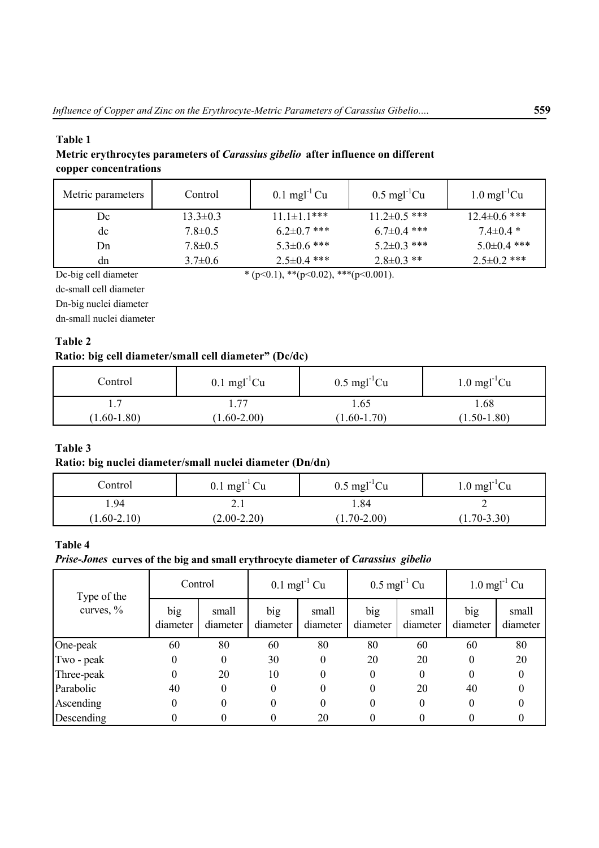# **Тable 1**

**Metric erythrocytes parameters of** *Carassius gibelio* **after influence on different copper concentrations**

| Metric parameters | Control        | $0.1$ mgl <sup>-1</sup> Cu | $0.5 \text{ mg}$ <sup>1</sup> $Cu$ | $1.0 \text{ mg}$ <sup>-1</sup> Cu |
|-------------------|----------------|----------------------------|------------------------------------|-----------------------------------|
| Dc                | $13.3 \pm 0.3$ | $11.1 \pm 1.1$ ***         | $11.2 \pm 0.5$ ***                 | $12.4 \pm 0.6$ ***                |
| dc                | $7.8 \pm 0.5$  | $6.2 \pm 0.7$ ***          | $6.7 \pm 0.4$ ***                  | $7.4 \pm 0.4$ *                   |
| Dn                | $7.8 \pm 0.5$  | $5.3 \pm 0.6$ ***          | $5.2 \pm 0.3$ ***                  | $5.0\pm0.4$ ***                   |
| dn                | $3.7\pm0.6$    | $2.5 \pm 0.4$ ***          | $2.8 \pm 0.3$ **                   | $2.5 \pm 0.2$ ***                 |

Dc-big cell diameter \* (p<0.1), \*\*(p<0.02), \*\*\*(p<0.001).

dc-small cell diameter

Dn-big nuclei diameter

dn-small nuclei diameter

### **Тable 2**

# **Ratio: big cell diameter/small cell diameter" (Dc/dc)**

| Control         | $0.1 \text{ mg}$ <sup>1</sup> $Cu$ | $0.5 \text{ mgl}^{-1}$ Cu | $1.0 \text{ mg}$ <sup>1</sup> $Cu$ |
|-----------------|------------------------------------|---------------------------|------------------------------------|
|                 | 77                                 | 1.65                      | . 68                               |
| $(1.60 - 1.80)$ | $1.60 - 2.00$                      | $(1.60 - 1.70)$           | $1.50 - 1.80$                      |

# **Тable 3**

#### **Ratio: big nuclei diameter/small nuclei diameter (Dn/dn)**

| Control         | $0.1$ mgl <sup>-1</sup> Cu | $0.5 \text{ mgl}^{-1}$ Cu | $1.0 \text{ mg}$ <sup>1</sup> $Cu$ |
|-----------------|----------------------------|---------------------------|------------------------------------|
| . 94            | 4. L                       | l.84                      | ∽                                  |
| $(1.60 - 2.10)$ | $(2.00-2.20)$              | $(1.70 - 2.00)$           | $(1.70 - 3.30)$                    |

# **Таble 4**

#### *Prise-Jones* **curves of the big and small erythrocyte diameter of** *Carassius gibelio*

| Type of the  | Control         |                   | $0.1$ mgl <sup>-1</sup> Cu |                   | $0.5 \text{ mgl}^{-1}$ Cu |                   | $1.0 \text{ mgl}^{-1}$ Cu |                   |
|--------------|-----------------|-------------------|----------------------------|-------------------|---------------------------|-------------------|---------------------------|-------------------|
| curves, $\%$ | big<br>diameter | small<br>diameter | big<br>diameter            | small<br>diameter | big<br>diameter           | small<br>diameter | big<br>diameter           | small<br>diameter |
| One-peak     | 60              | 80                | 60                         | 80                | 80                        | 60                | 60                        | 80                |
| Two - peak   | $\theta$        | 0                 | 30                         | 0                 | 20                        | 20                | $\theta$                  | 20                |
| Three-peak   | $\theta$        | 20                | 10                         | 0                 | $\theta$                  | $\boldsymbol{0}$  | $\theta$                  |                   |
| Parabolic    | 40              | 0                 | $\theta$                   | 0                 | $\theta$                  | 20                | 40                        |                   |
| Ascending    | $\theta$        | 0                 | $\Omega$                   | 0                 | 0                         | $\theta$          | $\theta$                  |                   |
| Descending   | 0               | 0                 |                            | 20                | $\theta$                  | 0                 |                           |                   |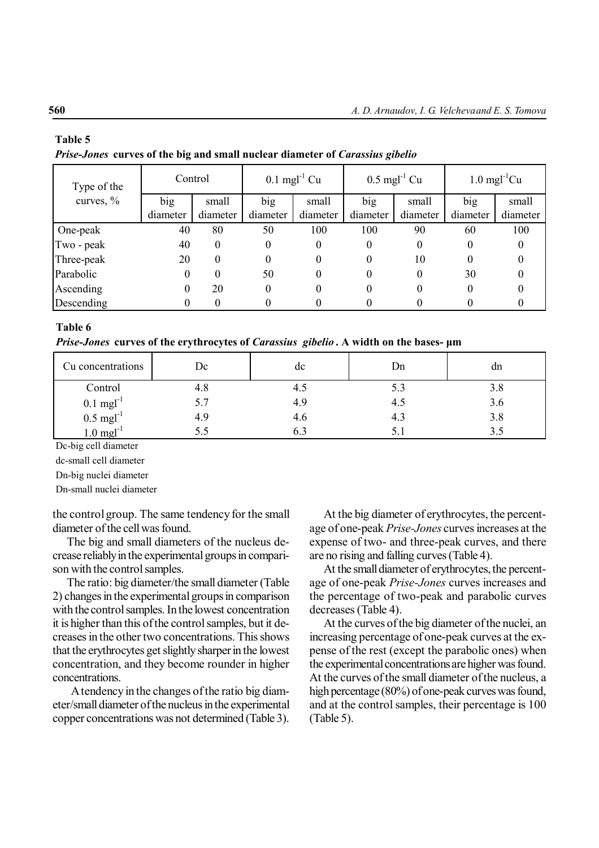# **Таble 5** *Prise-Jones* **curves of the big and small nuclear diameter of** *Carassius gibelio*

| Type of the  |          | Control  |          | $0.1$ mgl <sup>-1</sup> Cu |          | $0.5 \text{ mgl}^{-1}$ Cu | $1.0 \text{ mgl}^{-1}$ Cu |          |
|--------------|----------|----------|----------|----------------------------|----------|---------------------------|---------------------------|----------|
| curves, $\%$ | big      | small    | big      | small                      | big      | small                     | big                       | small    |
|              | diameter | diameter | diameter | diameter                   | diameter | diameter                  | diameter                  | diameter |
| One-peak     | 40       | 80       | 50       | 100                        | 100      | 90                        | 60                        | 100      |
| Two - peak   | 40       | $\theta$ | 0        | $\theta$                   | 0        | $\theta$                  | 0                         | 0        |
| Three-peak   | 20       | $\theta$ | 0        | 0                          | 0        | 10                        | 0                         |          |
| Parabolic    | 0        | 0        | 50       | $\theta$                   | 0        | 0                         | 30                        |          |
| Ascending    | 0        | 20       | 0        | 0                          | 0        | 0                         | 0                         |          |
| Descending   |          |          |          |                            |          |                           |                           |          |

#### **Таble 6**

*Prise-Jones* **curves of the erythrocytes of** *Carassius gibelio* **. A width on the bases- µm**

| Cu concentrations                              | Dc  | dc  | Dn  | dn  |
|------------------------------------------------|-----|-----|-----|-----|
| Control                                        | 4.8 | 4.J | 5.3 | 3.8 |
|                                                | 5.7 | 4.9 | 4.5 | 3.6 |
| 0.1 mgl <sup>-1</sup><br>0.5 mgl <sup>-1</sup> | 4.9 | 4.6 | 4.3 | 3.8 |
| $1.0$ mgl <sup>-'</sup>                        | 5.S |     | 5.1 |     |

Dc-big cell diameter

dc-small cell diameter

Dn-big nuclei diameter

Dn-small nuclei diameter

the control group. The same tendency for the small diameter of the cell was found.

The big and small diameters of the nucleus decrease reliably in the experimental groups in comparison with the control samples.

The ratio: big diameter/the small diameter (Table 2) changes in the experimental groups in comparison with the control samples. In the lowest concentration it is higher than this of the control samples, but it decreases in the other two concentrations. This shows that the erythrocytes get slightly sharper in the lowest concentration, and they become rounder in higher concentrations.

 A tendency in the changes of the ratio big diameter/small diameter of the nucleus in the experimental copper concentrations was not determined (Table 3).

At the big diameter of erythrocytes, the percentage of one-peak *Prise-Jones* curves increases at the expense of two- and three-peak curves, and there are no rising and falling curves (Table 4).

At the small diameter of erythrocytes, the percentage of one-peak *Prise-Jones* curves increases and the percentage of two-peak and parabolic curves decreases (Table 4).

At the curves of the big diameter of the nuclei, an increasing percentage of one-peak curves at the expense of the rest (except the parabolic ones) when the experimental concentrations are higher was found. At the curves of the small diameter of the nucleus, a high percentage (80%) of one-peak curves was found, and at the control samples, their percentage is 100 (Table 5).

#### **560**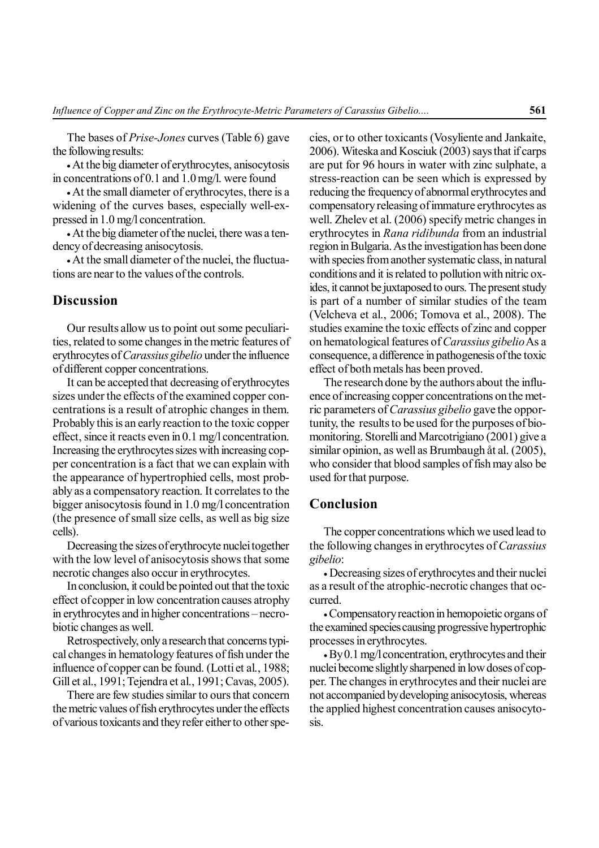The bases of *Prise-Jones* curves (Table 6) gave the following results:

• At the big diameter of erythrocytes, anisocytosis in concentrations of 0.1 and 1.0 mg/l. were found

• At the small diameter of erythrocytes, there is a widening of the curves bases, especially well-expressed in 1.0 mg/l concentration.

• At the big diameter of the nuclei, there was a tendency of decreasing anisocytosis.

• At the small diameter of the nuclei, the fluctuations are near to the values of the controls.

### **Discussion**

Our results allow us to point out some peculiarities, related to some changes in the metric features of erythrocytes of *Carassius gibelio* under the influence of different copper concentrations.

It can be accepted that decreasing of erythrocytes sizes under the effects of the examined copper concentrations is a result of atrophic changes in them. Probably this is an early reaction to the toxic copper effect, since it reacts even in 0.1 mg/l concentration. Increasing the erythrocytes sizes with increasing copper concentration is a fact that we can explain with the appearance of hypertrophied cells, most probably as a compensatory reaction. It correlates to the bigger anisocytosis found in 1.0 mg/l concentration (the presence of small size cells, as well as big size cells).

Decreasing the sizes of erythrocyte nuclei together with the low level of anisocytosis shows that some necrotic changes also occur in erythrocytes.

In conclusion, it could be pointed out that the toxic effect of copper in low concentration causes atrophy in erythrocytes and in higher concentrations – necrobiotic changes as well.

Retrospectively, only a research that concerns typical changes in hematology features of fish under the influence of copper can be found. (Lotti et al., 1988; Gill et al., 1991; Tejendra et al., 1991; Cavas, 2005).

There are few studies similar to ours that concern the metric values of fish erythrocytes under the effects of various toxicants and they refer either to other species, or to other toxicants (Vosyliente and Jankaite, 2006). Witeska and Kosciuk (2003) says that if carps are put for 96 hours in water with zinc sulphate, a stress-reaction can be seen which is expressed by reducing the frequency of abnormal erythrocytes and compensatory releasing of immature erythrocytes as well. Zhelev et al. (2006) specify metric changes in erythrocytes in *Rana ridibunda* from an industrial region in Bulgaria. As the investigation has been done with species from another systematic class, in natural conditions and it is related to pollution with nitric oxides, it cannot be juxtaposed to ours. The present study is part of a number of similar studies of the team (Velcheva et al., 2006; Tomova et al., 2008). The studies examine the toxic effects of zinc and copper on hematological features of *Carassius gibelio* As a consequence, a difference in pathogenesis of the toxic effect of both metals has been proved.

The research done by the authors about the influence of increasing copper concentrations on the metric parameters of *Carassius gibelio* gave the opportunity, the results to be used for the purposes of biomonitoring. Storelli and Marcotrigiano (2001) give a similar opinion, as well as Brumbaugh åt al. (2005), who consider that blood samples of fish may also be used for that purpose.

# **Conclusion**

The copper concentrations which we used lead to the following changes in erythrocytes of *Carassius gibelio*:

• Decreasing sizes of erythrocytes and their nuclei as a result of the atrophic-necrotic changes that occurred.

• Compensatory reaction in hemopoietic organs of the examined species causing progressive hypertrophic processes in erythrocytes.

• By0.1 mg/l concentration, erythrocytes and their nuclei become slightly sharpened in low doses of copper. The changes in erythrocytes and their nuclei are not accompanied by developing anisocytosis, whereas the applied highest concentration causes anisocytosis.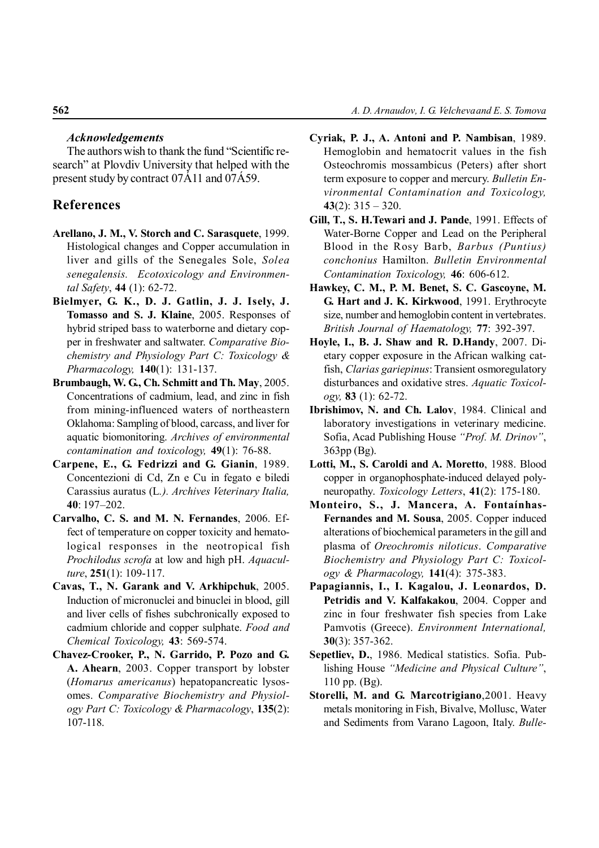#### *Acknowledgements*

The authors wish to thank the fund "Scientific research" at Plovdiv University that helped with the present study by contract 07Á11 and 07Á59.

### **References**

- **Arellano, J. M., V. Storch and C. Sarasquete**, 1999. Histological changes and Copper accumulation in liver and gills of the Senegales Sole, *Solea senegalensis. Ecotoxicology and Environmental Safety*, **44** (1): 62-72.
- **Bielmyer, G. K., D. J. Gatlin, J. J. Isely, J. Tomasso and S. J. Klaine**, 2005. Responses of hybrid striped bass to waterborne and dietary copper in freshwater and saltwater. *Comparative Biochemistry and Physiology Part C: Toxicology & Pharmacology,* **140**(1): 131-137.
- **Brumbaugh, W. G., Ch. Schmitt and Th. May**, 2005. Concentrations of cadmium, lead, and zinc in fish from mining-influenced waters of northeastern Oklahoma: Sampling of blood, carcass, and liver for aquatic biomonitoring. *Archives of environmental contamination and toxicology,* **49**(1): 76-88.
- **Carpene, E., G. Fedrizzi and G. Gianin**, 1989. Concentezioni di Cd, Zn e Cu in fegato e biledi Carassius auratus (L*.). Archives Veterinary Italia,* **40**: 197–202.
- **Carvalho, C. S. and M. N. Fernandes**, 2006. Effect of temperature on copper toxicity and hematological responses in the neotropical fish *Prochilodus scrofa* at low and high pH. *Aquaculture*, **251**(1): 109-117.
- **Cavas, T., N. Garank and V. Arkhipchuk**, 2005. Induction of micronuclei and binuclei in blood, gill and liver cells of fishes subchronically exposed to cadmium chloride and copper sulphate. *Food and Chemical Toxicology,* **43**: 569-574.
- **Chavez-Crooker, P., N. Garrido, P. Pozo and G. A. Ahearn**, 2003. Copper transport by lobster (*Homarus americanus*) hepatopancreatic lysosomes. *Comparative Biochemistry and Physiology Part C: Toxicology & Pharmacology*, **135**(2): 107-118.
- **Cyriak, P. J., A. Antoni and P. Nambisan**, 1989. Hemoglobin and hematocrit values in the fish Osteochromis mossambicus (Peters) after short term exposure to copper and mercury. *Bulletin Environmental Contamination and Toxicology,* **43**(2): 315 – 320.
- **Gill, T., S. H.Tewari and J. Pande**, 1991. Effects of Water-Borne Copper and Lead on the Peripheral Blood in the Rosy Barb, *Barbus (Puntius) conchonius* Hamilton. *Bulletin Environmental Contamination Toxicology,* **46**: 606-612.
- **Hawkey, C. M., P. M. Benet, S. C. Gascoyne, M. G. Hart and J. K. Kirkwood**, 1991. Erythrocyte size, number and hemoglobin content in vertebrates. *British Journal of Haematology,* **77**: 392-397.
- **Hoyle, I., B. J. Shaw and R. D.Handy**, 2007. Dietary copper exposure in the African walking catfish, *Clarias gariepinus*: Transient osmoregulatory disturbances and oxidative stres. *Aquatic Toxicology,* **83** (1): 62-72.
- **Ibrishimov, N. and Ch. Lalov**, 1984. Clinical and laboratory investigations in veterinary medicine. Sofia, Acad Publishing House *"Prof. M. Drinov"*, 363pp (Bg).
- **Lotti, M., S. Caroldi and A. Moretto**, 1988. Blood copper in organophosphate-induced delayed polyneuropathy. *Toxicology Letters*, **41**(2): 175-180.
- **Monteiro, S., J. Mancera, A. Fontaínhas-Fernandes and M. Sousa**, 2005. Copper induced alterations of biochemical parameters in the gill and plasma of *Oreochromis niloticus*. *Comparative Biochemistry and Physiology Part C: Toxicology & Pharmacology,* **141**(4): 375-383.
- **Papagiannis, I., I. Kagalou, J. Leonardos, D. Petridis and V. Kalfakakou**, 2004. Copper and zinc in four freshwater fish species from Lake Pamvotis (Greece). *Environment International,* **30**(3): 357-362.
- **Sepetliev, D.**, 1986. Medical statistics. Sofia. Publishing House *"Medicine and Physical Culture"*, 110 pp. (Bg).
- **Storelli, M. and G. Marcotrigiano**,2001. Heavy metals monitoring in Fish, Bivalve, Mollusc, Water and Sediments from Varano Lagoon, Italy. *Bulle-*

#### **562**